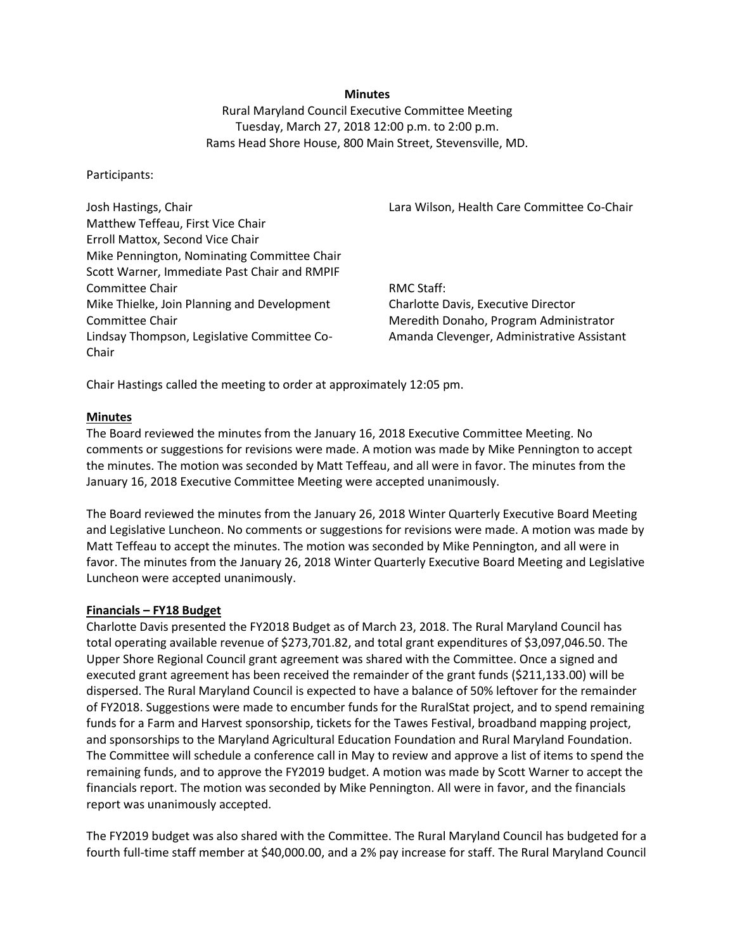### **Minutes**

Rural Maryland Council Executive Committee Meeting Tuesday, March 27, 2018 12:00 p.m. to 2:00 p.m. Rams Head Shore House, 800 Main Street, Stevensville, MD.

### Participants:

Josh Hastings, Chair Matthew Teffeau, First Vice Chair Erroll Mattox, Second Vice Chair Mike Pennington, Nominating Committee Chair Scott Warner, Immediate Past Chair and RMPIF Committee Chair Mike Thielke, Join Planning and Development Committee Chair Lindsay Thompson, Legislative Committee Co-Chair

Lara Wilson, Health Care Committee Co-Chair

RMC Staff: Charlotte Davis, Executive Director Meredith Donaho, Program Administrator Amanda Clevenger, Administrative Assistant

Chair Hastings called the meeting to order at approximately 12:05 pm.

### **Minutes**

The Board reviewed the minutes from the January 16, 2018 Executive Committee Meeting. No comments or suggestions for revisions were made. A motion was made by Mike Pennington to accept the minutes. The motion was seconded by Matt Teffeau, and all were in favor. The minutes from the January 16, 2018 Executive Committee Meeting were accepted unanimously.

The Board reviewed the minutes from the January 26, 2018 Winter Quarterly Executive Board Meeting and Legislative Luncheon. No comments or suggestions for revisions were made. A motion was made by Matt Teffeau to accept the minutes. The motion was seconded by Mike Pennington, and all were in favor. The minutes from the January 26, 2018 Winter Quarterly Executive Board Meeting and Legislative Luncheon were accepted unanimously.

#### **Financials – FY18 Budget**

Charlotte Davis presented the FY2018 Budget as of March 23, 2018. The Rural Maryland Council has total operating available revenue of \$273,701.82, and total grant expenditures of \$3,097,046.50. The Upper Shore Regional Council grant agreement was shared with the Committee. Once a signed and executed grant agreement has been received the remainder of the grant funds (\$211,133.00) will be dispersed. The Rural Maryland Council is expected to have a balance of 50% leftover for the remainder of FY2018. Suggestions were made to encumber funds for the RuralStat project, and to spend remaining funds for a Farm and Harvest sponsorship, tickets for the Tawes Festival, broadband mapping project, and sponsorships to the Maryland Agricultural Education Foundation and Rural Maryland Foundation. The Committee will schedule a conference call in May to review and approve a list of items to spend the remaining funds, and to approve the FY2019 budget. A motion was made by Scott Warner to accept the financials report. The motion was seconded by Mike Pennington. All were in favor, and the financials report was unanimously accepted.

The FY2019 budget was also shared with the Committee. The Rural Maryland Council has budgeted for a fourth full-time staff member at \$40,000.00, and a 2% pay increase for staff. The Rural Maryland Council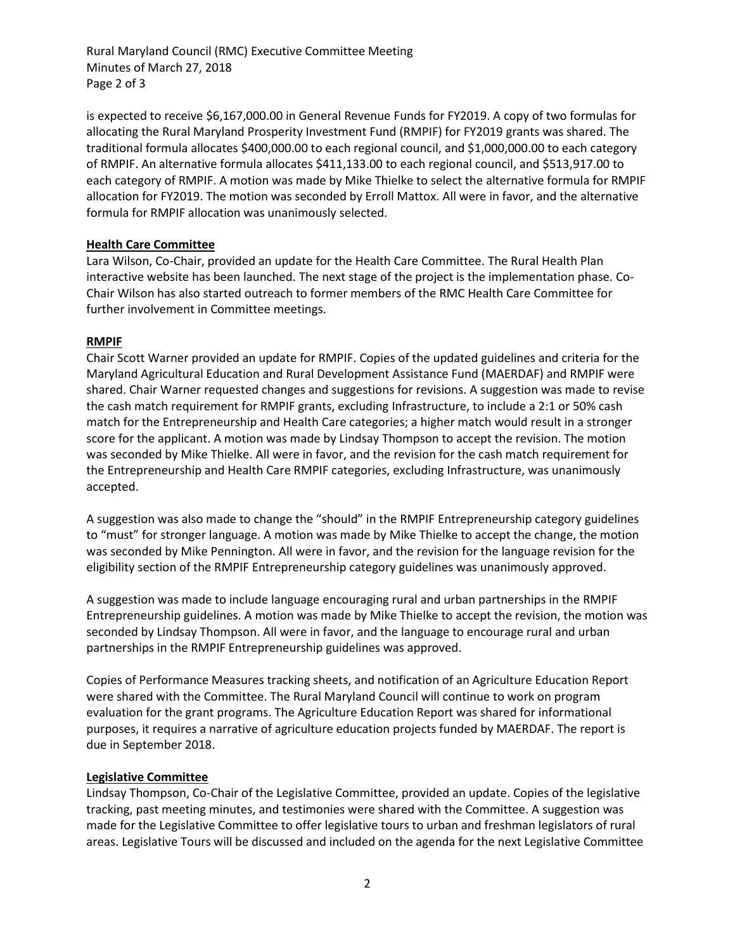Rural Maryland Council (RMC) Executive Committee Meeting Minutes of March 27, 2018 Page 2 of 3

is expected to receive \$6,167,000.00 in General Revenue Funds for FY2019. A copy of two formulas for allocating the Rural Maryland Prosperity Investment Fund (RMPIF) for FY2019 grants was shared. The traditional formula allocates \$400,000.00 to each regional council, and \$1,000,000.00 to each category of RMPIF. An alternative formula allocates \$411,133.00 to each regional council, and \$513,917.00 to each category of RMPIF. A motion was made by Mike Thielke to select the alternative formula for RMPIF allocation for FY2019. The motion was seconded by Erroll Mattox. All were in favor, and the alternative formula for RMPIF allocation was unanimously selected.

# **Health Care Committee**

Lara Wilson, Co-Chair, provided an update for the Health Care Committee. The Rural Health Plan interactive website has been launched. The next stage of the project is the implementation phase. Co-Chair Wilson has also started outreach to former members of the RMC Health Care Committee for further involvement in Committee meetings.

## **RMPIF**

Chair Scott Warner provided an update for RMPIF. Copies of the updated guidelines and criteria for the Maryland Agricultural Education and Rural Development Assistance Fund (MAERDAF) and RMPIF were shared. Chair Warner requested changes and suggestions for revisions. A suggestion was made to revise the cash match requirement for RMPIF grants, excluding Infrastructure, to include a 2:1 or 50% cash match for the Entrepreneurship and Health Care categories; a higher match would result in a stronger score for the applicant. A motion was made by Lindsay Thompson to accept the revision. The motion was seconded by Mike Thielke. All were in favor, and the revision for the cash match requirement for the Entrepreneurship and Health Care RMPIF categories, excluding Infrastructure, was unanimously accepted.

A suggestion was also made to change the "should" in the RMPIF Entrepreneurship category guidelines to "must" for stronger language. A motion was made by Mike Thielke to accept the change, the motion was seconded by Mike Pennington. All were in favor, and the revision for the language revision for the eligibility section of the RMPIF Entrepreneurship category guidelines was unanimously approved.

A suggestion was made to include language encouraging rural and urban partnerships in the RMPIF Entrepreneurship guidelines. A motion was made by Mike Thielke to accept the revision, the motion was seconded by Lindsay Thompson. All were in favor, and the language to encourage rural and urban partnerships in the RMPIF Entrepreneurship guidelines was approved.

Copies of Performance Measures tracking sheets, and notification of an Agriculture Education Report were shared with the Committee. The Rural Maryland Council will continue to work on program evaluation for the grant programs. The Agriculture Education Report was shared for informational purposes, it requires a narrative of agriculture education projects funded by MAERDAF. The report is due in September 2018.

## **Legislative Committee**

Lindsay Thompson, Co-Chair of the Legislative Committee, provided an update. Copies of the legislative tracking, past meeting minutes, and testimonies were shared with the Committee. A suggestion was made for the Legislative Committee to offer legislative tours to urban and freshman legislators of rural areas. Legislative Tours will be discussed and included on the agenda for the next Legislative Committee